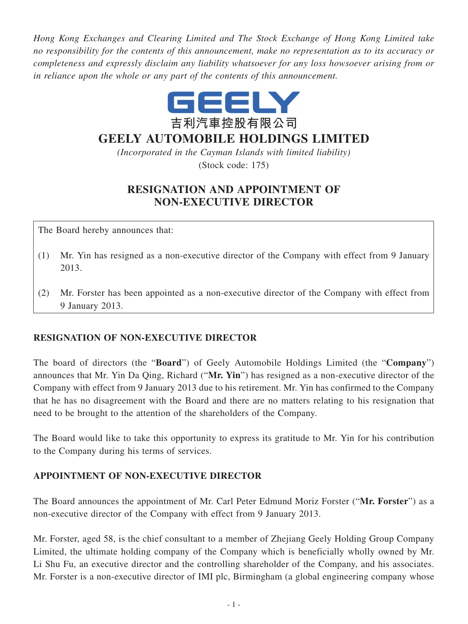*Hong Kong Exchanges and Clearing Limited and The Stock Exchange of Hong Kong Limited take no responsibility for the contents of this announcement, make no representation as to its accuracy or completeness and expressly disclaim any liability whatsoever for any loss howsoever arising from or in reliance upon the whole or any part of the contents of this announcement.*



## **GEELY AUTOMOBILE HOLDINGS LIMITED**

*(Incorporated in the Cayman Islands with limited liability)* (Stock code: 175)

## **RESIGNATION AND APPOINTMENT OF NON-EXECUTIVE DIRECTOR**

The Board hereby announces that:

- (1) Mr. Yin has resigned as a non-executive director of the Company with effect from 9 January 2013.
- (2) Mr. Forster has been appointed as a non-executive director of the Company with effect from 9 January 2013.

## **RESIGNATION OF NON-EXECUTIVE DIRECTOR**

The board of directors (the "**Board**") of Geely Automobile Holdings Limited (the "**Company**") announces that Mr. Yin Da Qing, Richard ("**Mr. Yin**") has resigned as a non-executive director of the Company with effect from 9 January 2013 due to his retirement. Mr. Yin has confirmed to the Company that he has no disagreement with the Board and there are no matters relating to his resignation that need to be brought to the attention of the shareholders of the Company.

The Board would like to take this opportunity to express its gratitude to Mr. Yin for his contribution to the Company during his terms of services.

## **APPOINTMENT OF NON-EXECUTIVE DIRECTOR**

The Board announces the appointment of Mr. Carl Peter Edmund Moriz Forster ("**Mr. Forster**") as a non-executive director of the Company with effect from 9 January 2013.

Mr. Forster, aged 58, is the chief consultant to a member of Zhejiang Geely Holding Group Company Limited, the ultimate holding company of the Company which is beneficially wholly owned by Mr. Li Shu Fu, an executive director and the controlling shareholder of the Company, and his associates. Mr. Forster is a non-executive director of IMI plc, Birmingham (a global engineering company whose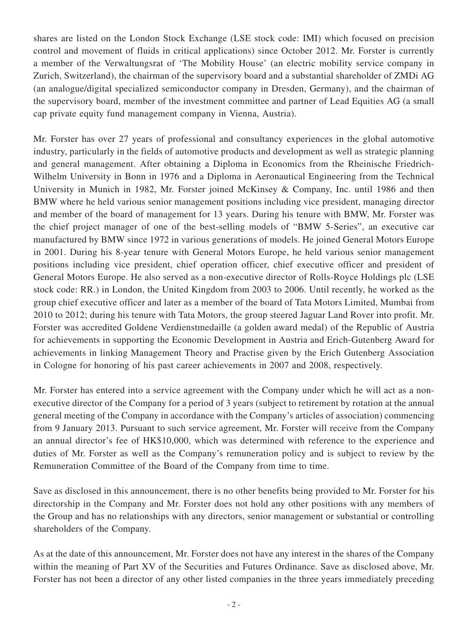shares are listed on the London Stock Exchange (LSE stock code: IMI) which focused on precision control and movement of fluids in critical applications) since October 2012. Mr. Forster is currently a member of the Verwaltungsrat of 'The Mobility House' (an electric mobility service company in Zurich, Switzerland), the chairman of the supervisory board and a substantial shareholder of ZMDi AG (an analogue/digital specialized semiconductor company in Dresden, Germany), and the chairman of the supervisory board, member of the investment committee and partner of Lead Equities AG (a small cap private equity fund management company in Vienna, Austria).

Mr. Forster has over 27 years of professional and consultancy experiences in the global automotive industry, particularly in the fields of automotive products and development as well as strategic planning and general management. After obtaining a Diploma in Economics from the Rheinische Friedrich-Wilhelm University in Bonn in 1976 and a Diploma in Aeronautical Engineering from the Technical University in Munich in 1982, Mr. Forster joined McKinsey & Company, Inc. until 1986 and then BMW where he held various senior management positions including vice president, managing director and member of the board of management for 13 years. During his tenure with BMW, Mr. Forster was the chief project manager of one of the best-selling models of "BMW 5-Series", an executive car manufactured by BMW since 1972 in various generations of models. He joined General Motors Europe in 2001. During his 8-year tenure with General Motors Europe, he held various senior management positions including vice president, chief operation officer, chief executive officer and president of General Motors Europe. He also served as a non-executive director of Rolls-Royce Holdings plc (LSE stock code: RR.) in London, the United Kingdom from 2003 to 2006. Until recently, he worked as the group chief executive officer and later as a member of the board of Tata Motors Limited, Mumbai from 2010 to 2012; during his tenure with Tata Motors, the group steered Jaguar Land Rover into profit. Mr. Forster was accredited Goldene Verdienstmedaille (a golden award medal) of the Republic of Austria for achievements in supporting the Economic Development in Austria and Erich-Gutenberg Award for achievements in linking Management Theory and Practise given by the Erich Gutenberg Association in Cologne for honoring of his past career achievements in 2007 and 2008, respectively.

Mr. Forster has entered into a service agreement with the Company under which he will act as a nonexecutive director of the Company for a period of 3 years (subject to retirement by rotation at the annual general meeting of the Company in accordance with the Company's articles of association) commencing from 9 January 2013. Pursuant to such service agreement, Mr. Forster will receive from the Company an annual director's fee of HK\$10,000, which was determined with reference to the experience and duties of Mr. Forster as well as the Company's remuneration policy and is subject to review by the Remuneration Committee of the Board of the Company from time to time.

Save as disclosed in this announcement, there is no other benefits being provided to Mr. Forster for his directorship in the Company and Mr. Forster does not hold any other positions with any members of the Group and has no relationships with any directors, senior management or substantial or controlling shareholders of the Company.

As at the date of this announcement, Mr. Forster does not have any interest in the shares of the Company within the meaning of Part XV of the Securities and Futures Ordinance. Save as disclosed above, Mr. Forster has not been a director of any other listed companies in the three years immediately preceding